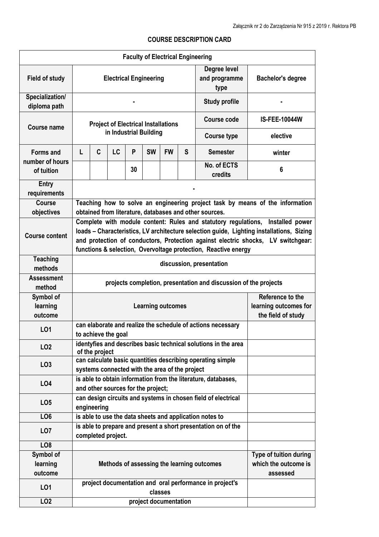## **COURSE DESCRIPTION CARD**

|                                                   |                                                                                                                                         |                                                                                                                                                                                                                                                                                                                                  |                        |    | <b>Faculty of Electrical Engineering</b> |           |                          |                                                                |                      |  |  |  |
|---------------------------------------------------|-----------------------------------------------------------------------------------------------------------------------------------------|----------------------------------------------------------------------------------------------------------------------------------------------------------------------------------------------------------------------------------------------------------------------------------------------------------------------------------|------------------------|----|------------------------------------------|-----------|--------------------------|----------------------------------------------------------------|----------------------|--|--|--|
| <b>Field of study</b>                             | Degree level<br>and programme<br><b>Electrical Engineering</b><br>type                                                                  |                                                                                                                                                                                                                                                                                                                                  |                        |    |                                          |           | <b>Bachelor's degree</b> |                                                                |                      |  |  |  |
| Specialization/<br>diploma path                   | <b>Study profile</b>                                                                                                                    |                                                                                                                                                                                                                                                                                                                                  |                        |    |                                          |           |                          |                                                                |                      |  |  |  |
| <b>Course name</b>                                | <b>Project of Electrical Installations</b>                                                                                              |                                                                                                                                                                                                                                                                                                                                  |                        |    |                                          |           |                          | <b>Course code</b>                                             | <b>IS-FEE-10044W</b> |  |  |  |
|                                                   |                                                                                                                                         |                                                                                                                                                                                                                                                                                                                                  | in Industrial Building |    |                                          |           |                          | <b>Course type</b>                                             | elective             |  |  |  |
| <b>Forms and</b><br>number of hours<br>of tuition | L                                                                                                                                       | C                                                                                                                                                                                                                                                                                                                                | LC                     | P  | <b>SW</b>                                | <b>FW</b> | S                        | <b>Semester</b>                                                | winter               |  |  |  |
|                                                   |                                                                                                                                         |                                                                                                                                                                                                                                                                                                                                  |                        | 30 |                                          |           |                          | No. of ECTS<br>credits                                         | 6                    |  |  |  |
| Entry<br>requirements                             |                                                                                                                                         |                                                                                                                                                                                                                                                                                                                                  |                        |    |                                          |           |                          |                                                                |                      |  |  |  |
| Course<br>objectives                              | Teaching how to solve an engineering project task by means of the information<br>obtained from literature, databases and other sources. |                                                                                                                                                                                                                                                                                                                                  |                        |    |                                          |           |                          |                                                                |                      |  |  |  |
| <b>Course content</b>                             |                                                                                                                                         | Complete with module content: Rules and statutory regulations, Installed power<br>loads - Characteristics, LV architecture selection guide, Lighting installations, Sizing<br>and protection of conductors, Protection against electric shocks, LV switchgear:<br>functions & selection, Overvoltage protection, Reactive energy |                        |    |                                          |           |                          |                                                                |                      |  |  |  |
| <b>Teaching</b><br>methods                        | discussion, presentation                                                                                                                |                                                                                                                                                                                                                                                                                                                                  |                        |    |                                          |           |                          |                                                                |                      |  |  |  |
| <b>Assessment</b><br>method                       | projects completion, presentation and discussion of the projects                                                                        |                                                                                                                                                                                                                                                                                                                                  |                        |    |                                          |           |                          |                                                                |                      |  |  |  |
| Symbol of                                         |                                                                                                                                         |                                                                                                                                                                                                                                                                                                                                  |                        |    |                                          |           |                          |                                                                | Reference to the     |  |  |  |
| learning<br>outcome                               | <b>Learning outcomes</b>                                                                                                                |                                                                                                                                                                                                                                                                                                                                  |                        |    |                                          |           |                          | learning outcomes for<br>the field of study                    |                      |  |  |  |
| L <sub>01</sub>                                   |                                                                                                                                         |                                                                                                                                                                                                                                                                                                                                  | to achieve the goal    |    |                                          |           |                          | can elaborate and realize the schedule of actions necessary    |                      |  |  |  |
| LO <sub>2</sub>                                   |                                                                                                                                         | of the project                                                                                                                                                                                                                                                                                                                   |                        |    |                                          |           |                          | identyfies and describes basic technical solutions in the area |                      |  |  |  |
| LO <sub>3</sub>                                   |                                                                                                                                         | can calculate basic quantities describing operating simple<br>systems connected with the area of the project                                                                                                                                                                                                                     |                        |    |                                          |           |                          |                                                                |                      |  |  |  |
| L04                                               |                                                                                                                                         | is able to obtain information from the literature, databases,<br>and other sources for the project;                                                                                                                                                                                                                              |                        |    |                                          |           |                          |                                                                |                      |  |  |  |
| LO <sub>5</sub>                                   |                                                                                                                                         | engineering                                                                                                                                                                                                                                                                                                                      |                        |    |                                          |           |                          | can design circuits and systems in chosen field of electrical  |                      |  |  |  |
| LO <sub>6</sub>                                   |                                                                                                                                         |                                                                                                                                                                                                                                                                                                                                  |                        |    |                                          |           |                          | is able to use the data sheets and application notes to        |                      |  |  |  |
| LO <sub>7</sub>                                   |                                                                                                                                         |                                                                                                                                                                                                                                                                                                                                  | completed project.     |    |                                          |           |                          | is able to prepare and present a short presentation on of the  |                      |  |  |  |
| LO <sub>8</sub>                                   |                                                                                                                                         |                                                                                                                                                                                                                                                                                                                                  |                        |    |                                          |           |                          |                                                                |                      |  |  |  |
| Symbol of<br>learning<br>outcome                  | Type of tuition during<br>which the outcome is<br>Methods of assessing the learning outcomes<br>assessed                                |                                                                                                                                                                                                                                                                                                                                  |                        |    |                                          |           |                          |                                                                |                      |  |  |  |
| L01                                               | project documentation and oral performance in project's<br>classes                                                                      |                                                                                                                                                                                                                                                                                                                                  |                        |    |                                          |           |                          |                                                                |                      |  |  |  |
| LO <sub>2</sub>                                   |                                                                                                                                         |                                                                                                                                                                                                                                                                                                                                  |                        |    | project documentation                    |           |                          |                                                                |                      |  |  |  |